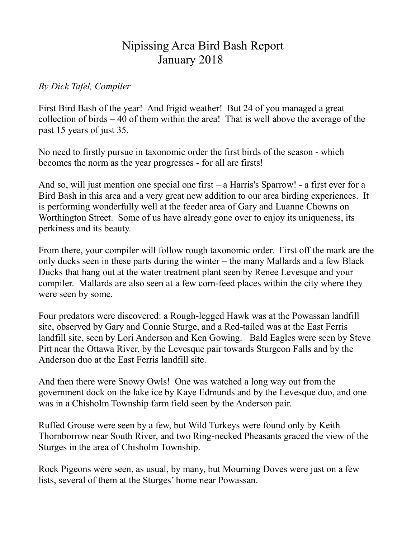## Nipissing Area Bird Bash Report January 2018

## *By Dick Tafel, Compiler*

First Bird Bash of the year! And frigid weather! But 24 of you managed a great collection of birds – 40 of them within the area! That is well above the average of the past 15 years of just 35.

No need to firstly pursue in taxonomic order the first birds of the season - which becomes the norm as the year progresses - for all are firsts!

And so, will just mention one special one first – a Harris's Sparrow! - a first ever for a Bird Bash in this area and a very great new addition to our area birding experiences. It is performing wonderfully well at the feeder area of Gary and Luanne Chowns on Worthington Street. Some of us have already gone over to enjoy its uniqueness, its perkiness and its beauty.

From there, your compiler will follow rough taxonomic order. First off the mark are the only ducks seen in these parts during the winter – the many Mallards and a few Black Ducks that hang out at the water treatment plant seen by Renee Levesque and your compiler. Mallards are also seen at a few corn-feed places within the city where they were seen by some.

Four predators were discovered: a Rough-legged Hawk was at the Powassan landfill site, observed by Gary and Connie Sturge, and a Red-tailed was at the East Ferris landfill site, seen by Lori Anderson and Ken Gowing. Bald Eagles were seen by Steve Pitt near the Ottawa River, by the Levesque pair towards Sturgeon Falls and by the Anderson duo at the East Ferris landfill site.

And then there were Snowy Owls! One was watched a long way out from the government dock on the lake ice by Kaye Edmunds and by the Levesque duo, and one was in a Chisholm Township farm field seen by the Anderson pair.

Ruffed Grouse were seen by a few, but Wild Turkeys were found only by Keith Thornborrow near South River, and two Ring-necked Pheasants graced the view of the Sturges in the area of Chisholm Township.

Rock Pigeons were seen, as usual, by many, but Mourning Doves were just on a few lists, several of them at the Sturges' home near Powassan.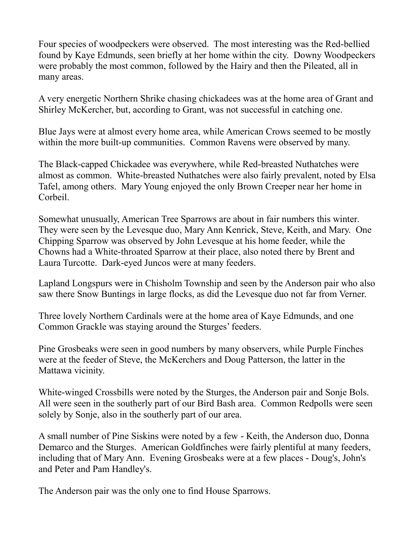Four species of woodpeckers were observed. The most interesting was the Red-bellied found by Kaye Edmunds, seen briefly at her home within the city. Downy Woodpeckers were probably the most common, followed by the Hairy and then the Pileated, all in many areas.

A very energetic Northern Shrike chasing chickadees was at the home area of Grant and Shirley McKercher, but, according to Grant, was not successful in catching one.

Blue Jays were at almost every home area, while American Crows seemed to be mostly within the more built-up communities. Common Ravens were observed by many.

The Black-capped Chickadee was everywhere, while Red-breasted Nuthatches were almost as common. White-breasted Nuthatches were also fairly prevalent, noted by Elsa Tafel, among others. Mary Young enjoyed the only Brown Creeper near her home in Corbeil.

Somewhat unusually, American Tree Sparrows are about in fair numbers this winter. They were seen by the Levesque duo, Mary Ann Kenrick, Steve, Keith, and Mary. One Chipping Sparrow was observed by John Levesque at his home feeder, while the Chowns had a White-throated Sparrow at their place, also noted there by Brent and Laura Turcotte. Dark-eyed Juncos were at many feeders.

Lapland Longspurs were in Chisholm Township and seen by the Anderson pair who also saw there Snow Buntings in large flocks, as did the Levesque duo not far from Verner.

Three lovely Northern Cardinals were at the home area of Kaye Edmunds, and one Common Grackle was staying around the Sturges' feeders.

Pine Grosbeaks were seen in good numbers by many observers, while Purple Finches were at the feeder of Steve, the McKerchers and Doug Patterson, the latter in the Mattawa vicinity.

White-winged Crossbills were noted by the Sturges, the Anderson pair and Sonje Bols. All were seen in the southerly part of our Bird Bash area. Common Redpolls were seen solely by Sonje, also in the southerly part of our area.

A small number of Pine Siskins were noted by a few - Keith, the Anderson duo, Donna Demarco and the Sturges. American Goldfinches were fairly plentiful at many feeders, including that of Mary Ann. Evening Grosbeaks were at a few places - Doug's, John's and Peter and Pam Handley's.

The Anderson pair was the only one to find House Sparrows.